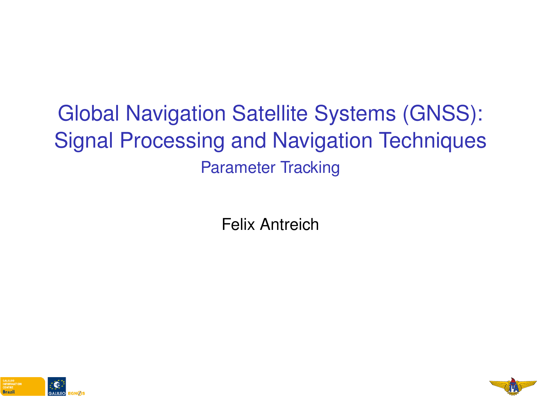# <span id="page-0-0"></span>Global Navigation Satellite Systems (GNSS): Signal Processing and Navigation Techniques Parameter Tracking

Felix Antreich



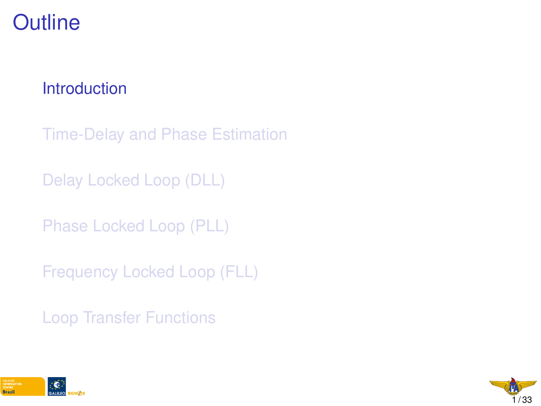## <span id="page-1-0"></span>**Outline**

#### **[Introduction](#page-1-0)**

[Time-Delay and Phase Estimation](#page-5-0)

[Delay Locked Loop \(DLL\)](#page-0-0)

[Phase Locked Loop \(PLL\)](#page-0-0)

[Frequency Locked Loop \(FLL\)](#page-0-0)

[Loop Transfer Functions](#page-0-0)



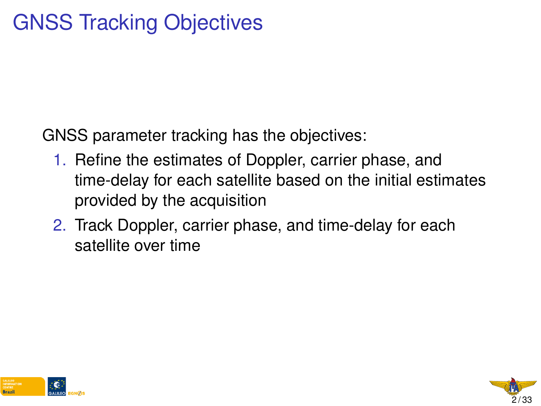GNSS parameter tracking has the objectives:

- 1. Refine the estimates of Doppler, carrier phase, and time-delay for each satellite based on the initial estimates provided by the acquisition
- 2. Track Doppler, carrier phase, and time-delay for each satellite over time



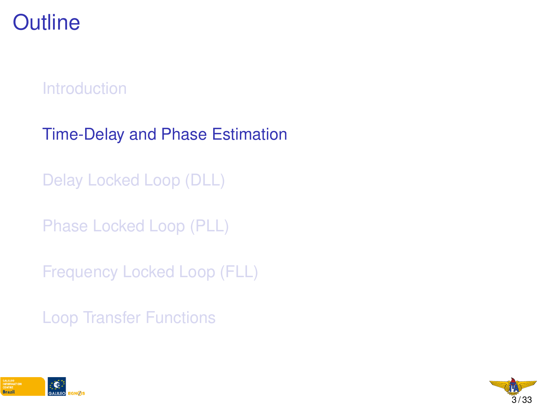## **Outline**

**[Introduction](#page-1-0)** 

[Time-Delay and Phase Estimation](#page-5-0)

[Delay Locked Loop \(DLL\)](#page-0-0)

[Phase Locked Loop \(PLL\)](#page-0-0)

[Frequency Locked Loop \(FLL\)](#page-0-0)

[Loop Transfer Functions](#page-0-0)



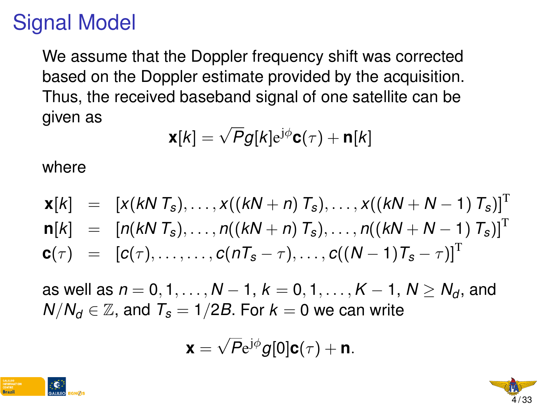# Signal Model

We assume that the Doppler frequency shift was corrected based on the Doppler estimate provided by the acquisition. Thus, the received baseband signal of one satellite can be given as

$$
\mathbf{x}[k] = \sqrt{P}g[k]e^{j\phi}\mathbf{C}(\tau) + \mathbf{n}[k]
$$

where

$$
\mathbf{x}[k] = [x(kN T_s),...,x((kN + n) T_s),...,x((kN + N - 1) T_s)]^T \n\mathbf{n}[k] = [n(kN T_s),...,n((kN + n) T_s),...,n((kN + N - 1) T_s)]^T \n\mathbf{c}(\tau) = [c(\tau),...,c(nT_s - \tau),...,c((N - 1)T_s - \tau)]^T
$$

as well as  $n = 0, 1, ..., N - 1$ ,  $k = 0, 1, ..., K - 1$ ,  $N > N_d$ , and  $N/N_d \in \mathbb{Z}$ , and  $T_s = 1/2B$ . For  $k = 0$  we can write

$$
\mathbf{x} = \sqrt{P}e^{j\phi}g[0]\mathbf{c}(\tau) + \mathbf{n}.
$$



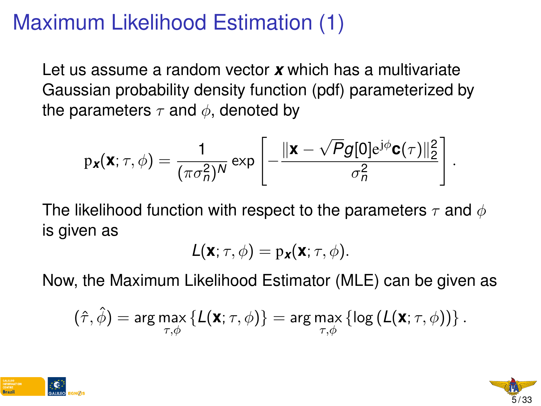## <span id="page-5-0"></span>Maximum Likelihood Estimation (1)

Let us assume a random vector *x* which has a multivariate Gaussian probability density function (pdf) parameterized by the parameters  $\tau$  and  $\phi$ , denoted by

$$
p_{\boldsymbol{x}}(\boldsymbol{x};\tau,\phi) = \frac{1}{(\pi \sigma_n^2)^N} \exp\left[-\frac{\|\boldsymbol{x}-\sqrt{P}g[0]e^{j\phi}\mathbf{C}(\tau)\|_2^2}{\sigma_n^2}\right]
$$

The likelihood function with respect to the parameters  $\tau$  and  $\phi$ is given as

$$
L(\mathbf{x};\tau,\phi)=p_{\mathbf{x}}(\mathbf{x};\tau,\phi).
$$

Now, the Maximum Likelihood Estimator (MLE) can be given as

$$
(\hat{\tau},\hat{\phi})=\arg\max_{\tau,\phi}\left\{ \mathcal{L}(\textbf{x};\tau,\phi)\right\} =\arg\max_{\tau,\phi}\left\{ \log\left(\mathcal{L}(\textbf{x};\tau,\phi)\right)\right\}.
$$





.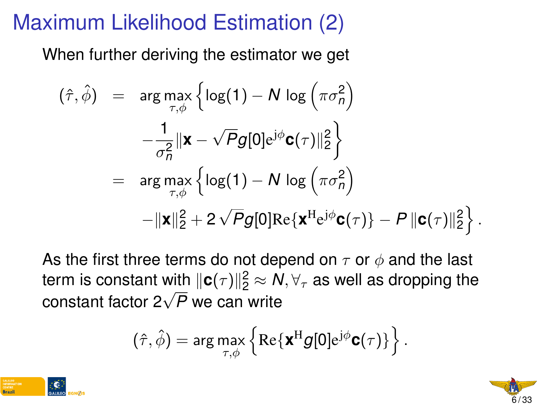# Maximum Likelihood Estimation (2)

When further deriving the estimator we get

$$
(\hat{\tau}, \hat{\phi}) = \arg \max_{\tau, \phi} \left\{ \log(1) - N \log \left( \pi \sigma_n^2 \right) - \frac{1}{\sigma_n^2} ||\mathbf{x} - \sqrt{P}g[0] e^{j\phi} \mathbf{c}(\tau) ||_2^2 \right\}
$$
  
= 
$$
\arg \max_{\tau, \phi} \left\{ \log(1) - N \log \left( \pi \sigma_n^2 \right) - ||\mathbf{x}||_2^2 + 2\sqrt{P}g[0] \text{Re}\{\mathbf{x}^H e^{j\phi} \mathbf{c}(\tau)\} - P ||\mathbf{c}(\tau) ||_2^2 \right\}.
$$

As the first three terms do not depend on  $\tau$  or  $\phi$  and the last term is constant with  $\|\mathbf{c}(\tau)\|_2^2 \approx \textit{N}, \forall_{\tau}$  as well as dropping the  $\frac{1}{2}$  constant with  $\frac{1}{2}$   $\left(\frac{7}{12}\right)$   $\approx$  N<br>constant factor 2 $\sqrt{P}$  we can write

$$
(\hat{\tau},\hat{\phi})=\arg\max_{\tau,\phi}\left\{\text{Re}\{\bm{x}^{\rm H}g[0]\mathrm{e}^{\mathrm{j}\phi}\bm{c}(\tau)\}\right\}.
$$



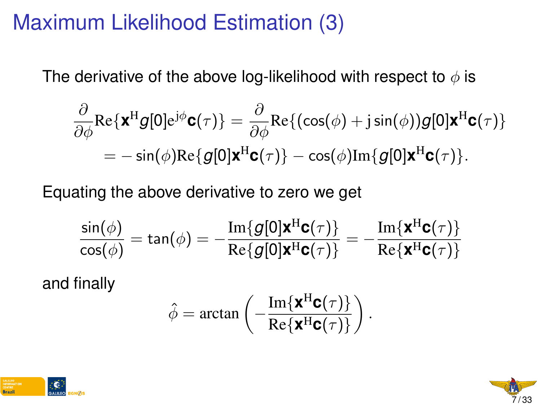## Maximum Likelihood Estimation (3)

The derivative of the above log-likelihood with respect to  $\phi$  is

$$
\frac{\partial}{\partial \phi} \text{Re}\{\mathbf{x}^{\text{H}}g[0]e^{j\phi}\mathbf{c}(\tau)\} = \frac{\partial}{\partial \phi} \text{Re}\{(\cos(\phi) + j\sin(\phi))g[0]\mathbf{x}^{\text{H}}\mathbf{c}(\tau)\}\n= -\sin(\phi)\text{Re}\{g[0]\mathbf{x}^{\text{H}}\mathbf{c}(\tau)\} - \cos(\phi)\text{Im}\{g[0]\mathbf{x}^{\text{H}}\mathbf{c}(\tau)\}.
$$

Equating the above derivative to zero we get

$$
\frac{\sin(\phi)}{\cos(\phi)} = \tan(\phi) = -\frac{\text{Im}\{g[0]\mathbf{x}^{\text{H}}\mathbf{c}(\tau)\}}{\text{Re}\{g[0]\mathbf{x}^{\text{H}}\mathbf{c}(\tau)\}} = -\frac{\text{Im}\{\mathbf{x}^{\text{H}}\mathbf{c}(\tau)\}}{\text{Re}\{\mathbf{x}^{\text{H}}\mathbf{c}(\tau)\}}
$$

and finally

$$
\hat{\phi} = \arctan\left(-\frac{\operatorname{Im}\{\mathbf{x}^{\mathrm{H}}\mathbf{c}(\tau)\}}{\operatorname{Re}\{\mathbf{x}^{\mathrm{H}}\mathbf{c}(\tau)\}}\right).
$$



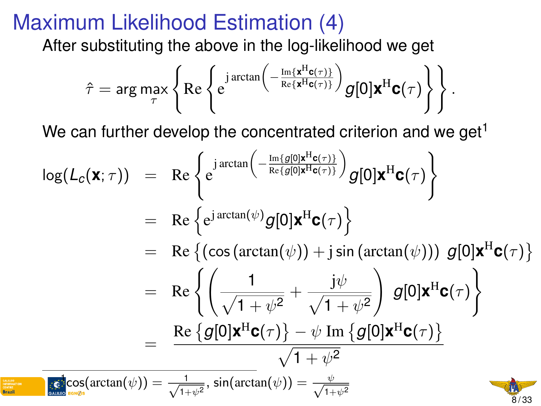## Maximum Likelihood Estimation (4)

After substituting the above in the log-likelihood we get

$$
\hat{\tau} = \arg \max_{\tau} \left\{ \text{Re} \left\{ \mathrm{e}^{\mathrm{j}\arctan \left( - \frac{\mathrm{Im}\left\{ \mathbf{x}^{\mathrm{H}} \mathbf{c}(\tau) \right\} }{\mathrm{Re}\left\{ \mathbf{x}^{\mathrm{H}} \mathbf{c}(\tau) \right\} } \right) } g[0] \mathbf{x}^{\mathrm{H}} \mathbf{c}(\tau) \right\} \right\}.
$$

We can further develop the concentrated criterion and we get<sup>1</sup>

$$
\log(L_{c}(\mathbf{x};\tau)) = \text{Re}\left\{e^{j\arctan\left(-\frac{\text{Im}\{g[0]\mathbf{x}^{H}\mathbf{c}(\tau)\}}{\text{Re}\{g[0]\mathbf{x}^{H}\mathbf{c}(\tau)\}}\right)}g[0]\mathbf{x}^{H}\mathbf{c}(\tau)\right\}
$$
\n
$$
= \text{Re}\left\{e^{j\arctan(\psi)}g[0]\mathbf{x}^{H}\mathbf{c}(\tau)\right\}
$$
\n
$$
= \text{Re}\left\{(\cos(\arctan(\psi)) + j\sin(\arctan(\psi)))g[0]\mathbf{x}^{H}\mathbf{c}(\tau)\right\}
$$
\n
$$
= \text{Re}\left\{\left(\frac{1}{\sqrt{1+\psi^{2}}} + \frac{j\psi}{\sqrt{1+\psi^{2}}}\right)g[0]\mathbf{x}^{H}\mathbf{c}(\tau)\right\}
$$
\n
$$
= \frac{\text{Re}\left\{g[0]\mathbf{x}^{H}\mathbf{c}(\tau)\right\} - \psi \text{ Im}\left\{g[0]\mathbf{x}^{H}\mathbf{c}(\tau)\right\}}{\sqrt{1+\psi^{2}}}
$$
\n
$$
\text{Re}\left\{\frac{\text{Im}\{g[0]\mathbf{x}^{H}\mathbf{c}(\tau)\}}{\sqrt{1+\psi^{2}}}\right\}
$$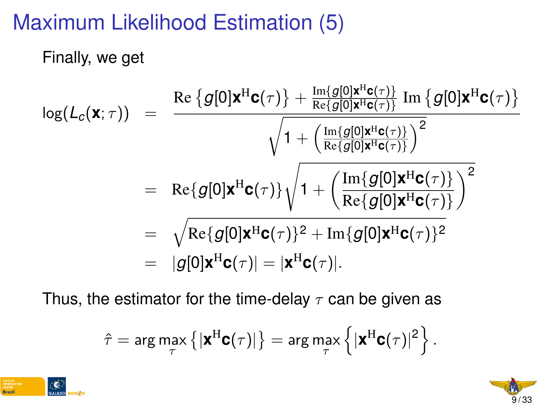# Maximum Likelihood Estimation (5)

#### Finally, we get

$$
\begin{array}{rcl} \log(L_c(\mathbf{x};\tau)) & = & \frac{\operatorname{Re}\left\{g[0]\mathbf{x}^{\mathrm{H}}\mathbf{c}(\tau)\right\} + \frac{\operatorname{Im}\left\{g[0]\mathbf{x}^{\mathrm{H}}\mathbf{c}(\tau)\right\}}{\operatorname{Re}\left\{g[0]\mathbf{x}^{\mathrm{H}}\mathbf{c}(\tau)\right\}}\operatorname{Im}\left\{g[0]\mathbf{x}^{\mathrm{H}}\mathbf{c}(\tau)\right\}} \\ & & & \sqrt{1 + \left(\frac{\operatorname{Im}\left\{g[0]\mathbf{x}^{\mathrm{H}}\mathbf{c}(\tau)\right\}}{\operatorname{Re}\left\{g[0]\mathbf{x}^{\mathrm{H}}\mathbf{c}(\tau)\right\}}\right)^2} \\ & = & \operatorname{Re}\left\{g[0]\mathbf{x}^{\mathrm{H}}\mathbf{c}(\tau)\right\}\sqrt{1 + \left(\frac{\operatorname{Im}\left\{g[0]\mathbf{x}^{\mathrm{H}}\mathbf{c}(\tau)\right\}}{\operatorname{Re}\left\{g[0]\mathbf{x}^{\mathrm{H}}\mathbf{c}(\tau)\right\}}\right)^2} \\ & = & \sqrt{\operatorname{Re}\left\{g[0]\mathbf{x}^{\mathrm{H}}\mathbf{c}(\tau)\right\}^2 + \operatorname{Im}\left\{g[0]\mathbf{x}^{\mathrm{H}}\mathbf{c}(\tau)\right\}^2} \\ & = & |g[0]\mathbf{x}^{\mathrm{H}}\mathbf{c}(\tau)| = |\mathbf{x}^{\mathrm{H}}\mathbf{c}(\tau)|. \end{array}
$$

Thus, the estimator for the time-delay  $\tau$  can be given as

$$
\hat{\tau} = \arg \max_{\tau} \left\{ |\boldsymbol{\mathsf{x}}^{\mathrm{H}} \boldsymbol{\mathsf{c}}(\tau)| \right\} = \arg \max_{\tau} \left\{ |\boldsymbol{\mathsf{x}}^{\mathrm{H}} \boldsymbol{\mathsf{c}}(\tau)|^2 \right\}.
$$



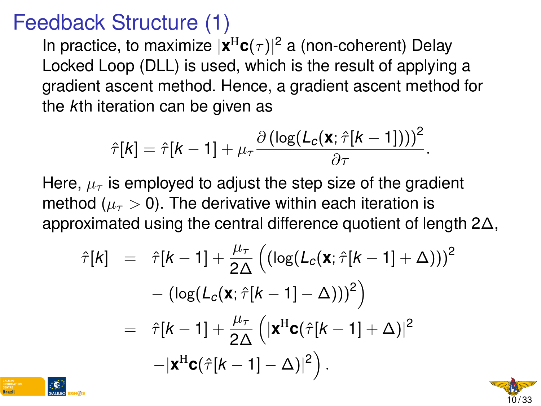## Feedback Structure (1)

In practice, to maximize  $|\mathbf{x}^{\text{H}}\mathbf{c}(\tau)|^2$  a (non-coherent) Delay Locked Loop (DLL) is used, which is the result of applying a gradient ascent method. Hence, a gradient ascent method for the *k*th iteration can be given as

$$
\hat{\tau}[k] = \hat{\tau}[k-1] + \mu_{\tau} \frac{\partial (\log(L_c(\mathbf{x}; \hat{\tau}[k-1])))^2}{\partial \tau}.
$$

Here,  $\mu_{\tau}$  is employed to adjust the step size of the gradient method ( $\mu_{\tau} > 0$ ). The derivative within each iteration is approximated using the central difference quotient of length 2∆,

$$
\hat{\tau}[k] = \hat{\tau}[k-1] + \frac{\mu_{\tau}}{2\Delta} \left( \left( \log(L_c(\mathbf{x}; \hat{\tau}[k-1] + \Delta)) \right)^2 - \left( \log(L_c(\mathbf{x}; \hat{\tau}[k-1] - \Delta)) \right)^2 \right)
$$

$$
= \hat{\tau}[k-1] + \frac{\mu_{\tau}}{2\Delta} \left( |\mathbf{x}^{\mathrm{H}} \mathbf{c}(\hat{\tau}[k-1] + \Delta) |^2 - |\mathbf{x}^{\mathrm{H}} \mathbf{c}(\hat{\tau}[k-1] - \Delta) |^2 \right).
$$



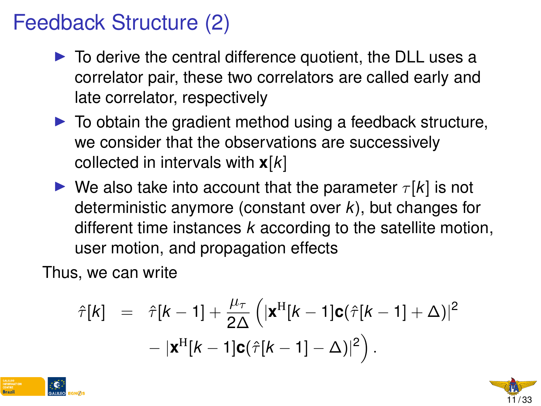# Feedback Structure (2)

- $\triangleright$  To derive the central difference quotient, the DLL uses a correlator pair, these two correlators are called early and late correlator, respectively
- $\blacktriangleright$  To obtain the gradient method using a feedback structure, we consider that the observations are successively collected in intervals with **x**[*k*]
- $\triangleright$  We also take into account that the parameter  $\tau[k]$  is not deterministic anymore (constant over *k*), but changes for different time instances *k* according to the satellite motion, user motion, and propagation effects

Thus, we can write

$$
\hat{\tau}[k] = \hat{\tau}[k-1] + \frac{\mu_{\tau}}{2\Delta} \left( |\mathbf{x}^{H}[k-1]\mathbf{c}(\hat{\tau}[k-1] + \Delta)|^{2} - |\mathbf{x}^{H}[k-1]\mathbf{c}(\hat{\tau}[k-1] - \Delta)|^{2} \right).
$$



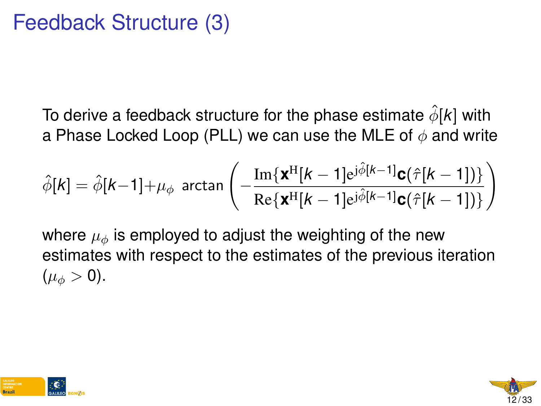To derive a feedback structure for the phase estimate  $\hat{\phi}[k]$  with a Phase Locked Loop (PLL) we can use the MLE of  $\phi$  and write

$$
\hat{\phi}[k] = \hat{\phi}[k-1] + \mu_{\phi} \text{ arctan}\left(-\frac{\text{Im}\{\mathbf{X}^{\text{H}}[k-1]e^{j\hat{\phi}[k-1]}\mathbf{c}(\hat{\tau}[k-1])\}}{\text{Re}\{\mathbf{X}^{\text{H}}[k-1]e^{j\hat{\phi}[k-1]}\mathbf{c}(\hat{\tau}[k-1])\}}\right)
$$

where  $\mu_{\phi}$  is employed to adjust the weighting of the new estimates with respect to the estimates of the previous iteration  $(\mu_{\phi} > 0).$ 



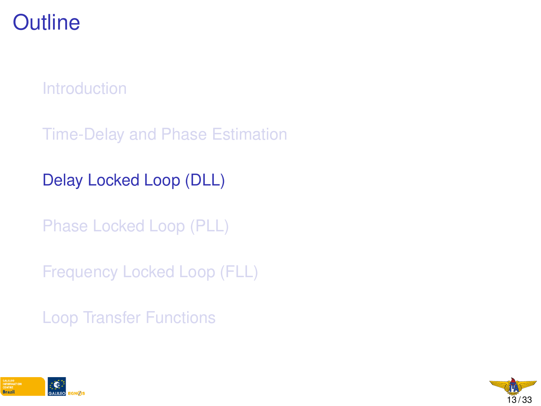## **Outline**

**[Introduction](#page-1-0)** 

[Time-Delay and Phase Estimation](#page-5-0)

[Delay Locked Loop \(DLL\)](#page-0-0)

[Phase Locked Loop \(PLL\)](#page-0-0)

[Frequency Locked Loop \(FLL\)](#page-0-0)

[Loop Transfer Functions](#page-0-0)



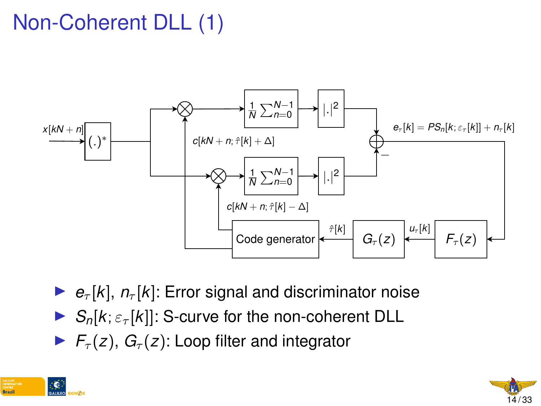# Non-Coherent DLL (1)



- $\blacktriangleright$   $e_{\tau}[k], n_{\tau}[k]$ : Error signal and discriminator noise
- $\triangleright$  *S*<sub>n</sub>[*k*;  $\varepsilon_{\tau}$ [*k*]]: S-curve for the non-coherent DLL
- $\blacktriangleright$   $F_{\tau}(z)$ ,  $G_{\tau}(z)$ : Loop filter and integrator



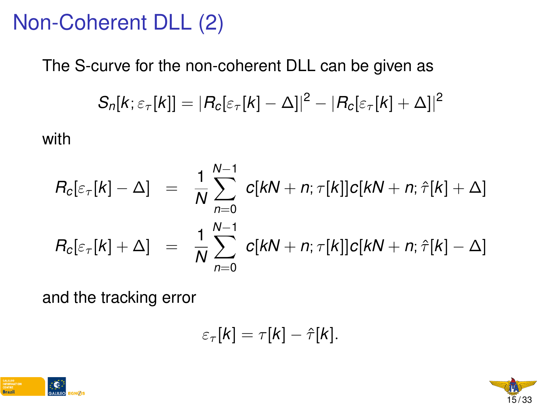# Non-Coherent DLL (2)

The S-curve for the non-coherent DLL can be given as

$$
S_n[k; \varepsilon_{\tau}[k]] = |R_c[\varepsilon_{\tau}[k] - \Delta]|^2 - |R_c[\varepsilon_{\tau}[k] + \Delta]|^2
$$

with

$$
R_c[\varepsilon_{\tau}[k] - \Delta] = \frac{1}{N} \sum_{n=0}^{N-1} c[kN + n; \tau[k]]c[kN + n; \hat{\tau}[k] + \Delta]
$$
  

$$
R_c[\varepsilon_{\tau}[k] + \Delta] = \frac{1}{N} \sum_{n=0}^{N-1} c[kN + n; \tau[k]]c[kN + n; \hat{\tau}[k] - \Delta]
$$

and the tracking error

$$
\varepsilon_{\tau}[k] = \tau[k] - \hat{\tau}[k].
$$



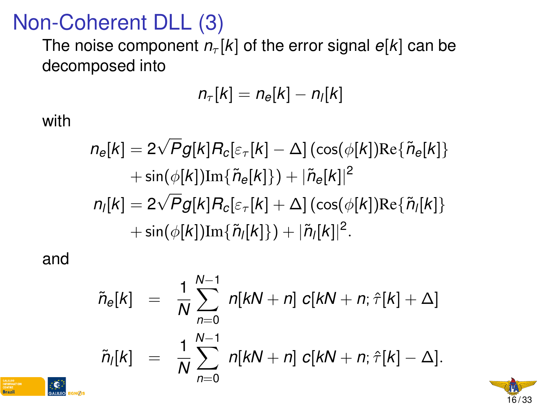# Non-Coherent DLL (3)

The noise component  $n_{\tau}[k]$  of the error signal  $e[k]$  can be decomposed into

$$
n_{\tau}[k] = n_{e}[k] - n_{l}[k]
$$

with

$$
n_e[k] = 2\sqrt{P}g[k]R_c[\varepsilon_\tau[k] - \Delta] (\cos(\phi[k])\text{Re}\{\tilde{n}_e[k]\} \\ + \sin(\phi[k])\text{Im}\{\tilde{n}_e[k]\}) + |\tilde{n}_e[k]|^2 \\ n_l[k] = 2\sqrt{P}g[k]R_c[\varepsilon_\tau[k] + \Delta] (\cos(\phi[k])\text{Re}\{\tilde{n}_l[k]\} \\ + \sin(\phi[k])\text{Im}\{\tilde{n}_l[k]\}) + |\tilde{n}_l[k]|^2.
$$

and

Brazil

$$
\tilde{n}_{e}[k] = \frac{1}{N} \sum_{n=0}^{N-1} n[kN + n] c[kN + n; \hat{\tau}[k] + \Delta]
$$
  

$$
\tilde{n}_{i}[k] = \frac{1}{N} \sum_{n=0}^{N-1} n[kN + n] c[kN + n; \hat{\tau}[k] - \Delta].
$$

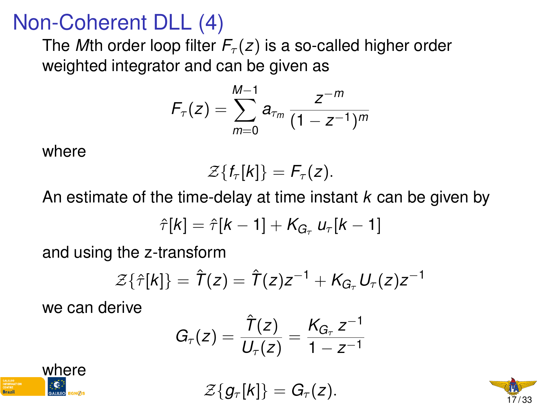# Non-Coherent DLL (4)

The *M*th order loop filter  $F_{\tau}(z)$  is a so-called higher order weighted integrator and can be given as

$$
F_{\tau}(z) = \sum_{m=0}^{M-1} a_{\tau_m} \frac{z^{-m}}{(1 - z^{-1})^m}
$$

where

$$
\mathcal{Z}\lbrace f_{\tau}[k]\rbrace = F_{\tau}(z).
$$

An estimate of the time-delay at time instant *k* can be given by

$$
\hat{\tau}[k] = \hat{\tau}[k-1] + K_{G_{\tau}} u_{\tau}[k-1]
$$

and using the z-transform

$$
\mathcal{Z}\{\hat{\tau}[k]\}=\hat{\mathcal{T}}(z)=\hat{\mathcal{T}}(z)z^{-1}+K_{G_{\tau}}U_{\tau}(z)z^{-1}
$$

we can derive

$$
G_{\tau}(z) = \frac{\hat{T}(z)}{U_{\tau}(z)} = \frac{K_{G_{\tau}} z^{-1}}{1 - z^{-1}}
$$



 $\mathcal{Z}{g_{\tau}[k]} = G_{\tau}(z)$ .

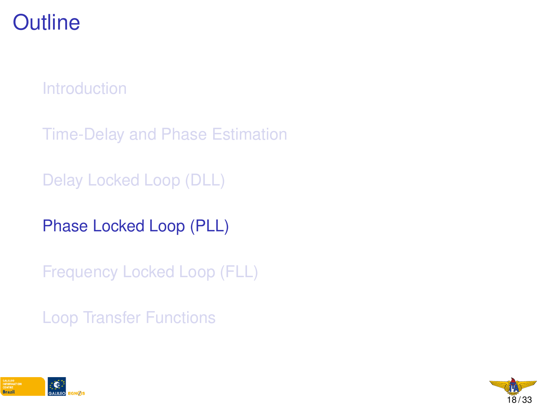## **Outline**

**[Introduction](#page-1-0)** 

[Time-Delay and Phase Estimation](#page-5-0)

[Delay Locked Loop \(DLL\)](#page-0-0)

[Phase Locked Loop \(PLL\)](#page-0-0)

[Frequency Locked Loop \(FLL\)](#page-0-0)

[Loop Transfer Functions](#page-0-0)



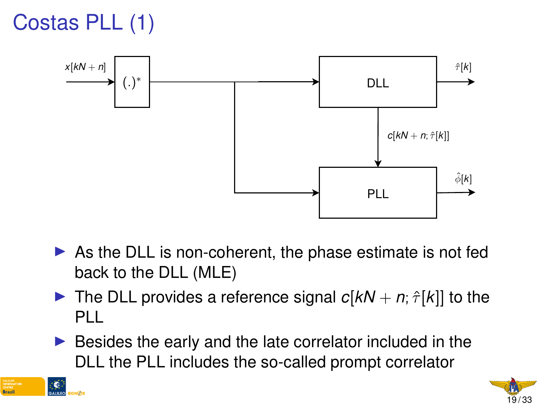



- $\triangleright$  As the DLL is non-coherent, the phase estimate is not fed back to the DLL (MLE)
- **If** The DLL provides a reference signal  $c[kN + n; \hat{\tau}[k]]$  to the PLL
- $\blacktriangleright$  Besides the early and the late correlator included in the DLL the PLL includes the so-called prompt correlator



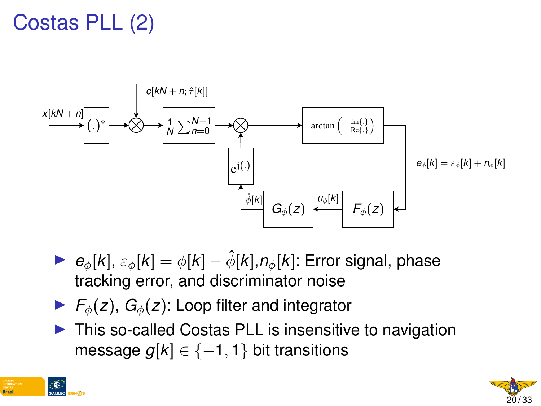# Costas PLL (2)



- $\triangleright$  *e*<sub> $\phi$ </sub>[*k*],  $\varepsilon_{\phi}$ [*k*] =  $\phi$ [*k*]  $\hat{\phi}$ [*k*], *n*<sub> $\phi$ </sub>[*k*]: Error signal, phase tracking error, and discriminator noise
- $\blacktriangleright$   $F_{\phi}(z)$ ,  $G_{\phi}(z)$ : Loop filter and integrator
- $\triangleright$  This so-called Costas PLL is insensitive to navigation message  $q[k] \in \{-1, 1\}$  bit transitions



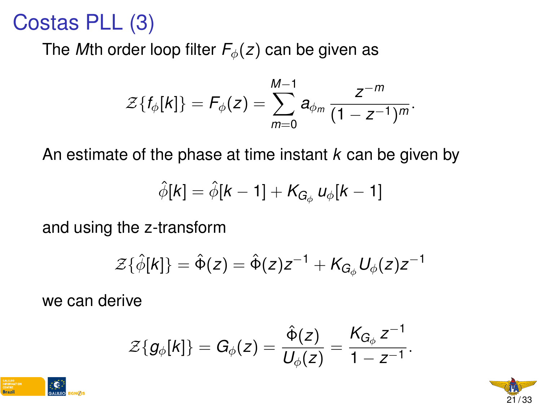## Costas PLL (3)

The *M*th order loop filter  $F_{\phi}(z)$  can be given as

$$
\mathcal{Z}\{f_{\phi}[k]\} = \mathcal{F}_{\phi}(z) = \sum_{m=0}^{M-1} a_{\phi_m} \frac{z^{-m}}{(1 - z^{-1})^m}.
$$

An estimate of the phase at time instant *k* can be given by

$$
\hat{\phi}[k] = \hat{\phi}[k-1] + \mathcal{K}_{G_{\phi}} u_{\phi}[k-1]
$$

and using the z-transform

$$
\mathcal{Z}\{\hat{\phi}[k]\}=\hat{\Phi}(z)=\hat{\Phi}(z)z^{-1}+K_{G_{\phi}}U_{\phi}(z)z^{-1}
$$

we can derive

$$
\mathcal{Z}{g_{\phi}[k]} = G_{\phi}(z) = \frac{\hat{\Phi}(z)}{U_{\phi}(z)} = \frac{K_{G_{\phi}} z^{-1}}{1 - z^{-1}}.
$$



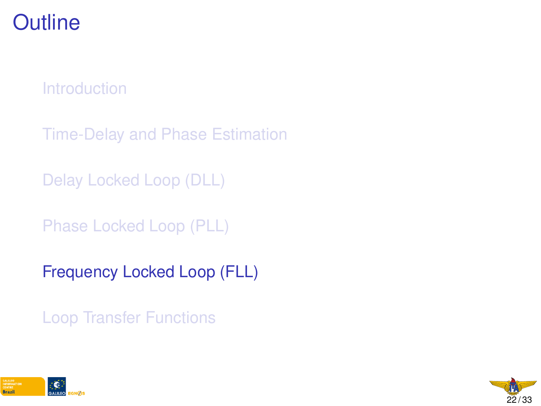## **Outline**

**[Introduction](#page-1-0)** 

[Time-Delay and Phase Estimation](#page-5-0)

[Delay Locked Loop \(DLL\)](#page-0-0)

[Phase Locked Loop \(PLL\)](#page-0-0)

[Frequency Locked Loop \(FLL\)](#page-0-0)

[Loop Transfer Functions](#page-0-0)



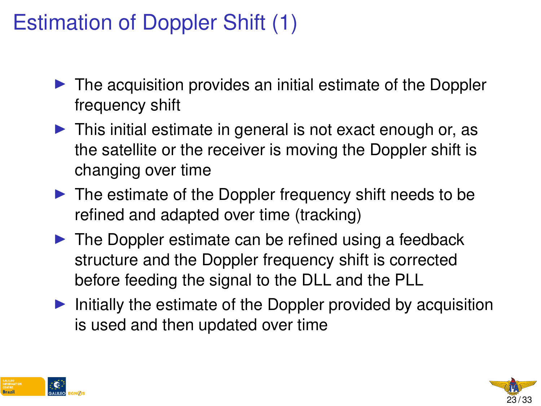# Estimation of Doppler Shift (1)

- $\triangleright$  The acquisition provides an initial estimate of the Doppler frequency shift
- $\triangleright$  This initial estimate in general is not exact enough or, as the satellite or the receiver is moving the Doppler shift is changing over time
- $\blacktriangleright$  The estimate of the Doppler frequency shift needs to be refined and adapted over time (tracking)
- $\blacktriangleright$  The Doppler estimate can be refined using a feedback structure and the Doppler frequency shift is corrected before feeding the signal to the DLL and the PLL
- $\blacktriangleright$  Initially the estimate of the Doppler provided by acquisition is used and then updated over time



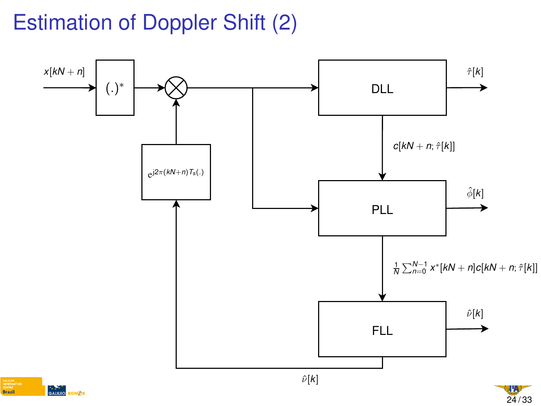# Estimation of Doppler Shift (2)



24 / 33

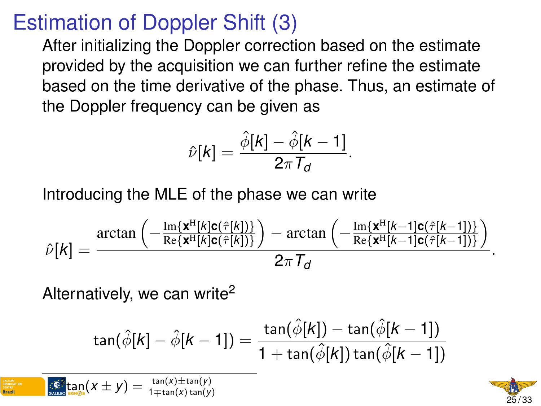## Estimation of Doppler Shift (3)

After initializing the Doppler correction based on the estimate provided by the acquisition we can further refine the estimate based on the time derivative of the phase. Thus, an estimate of the Doppler frequency can be given as

$$
\hat{\nu}[k] = \frac{\hat{\phi}[k] - \hat{\phi}[k-1]}{2\pi \, T_d}.
$$

Introducing the MLE of the phase we can write

$$
\hat{\nu}[k] = \frac{\arctan\left(-\frac{\text{Im}\{\mathbf{x}^H[k]\mathbf{c}(\hat{\tau}[k])\}}{\text{Re}\{\mathbf{x}^H[k]\mathbf{c}(\hat{\tau}[k])\}}\right) - \arctan\left(-\frac{\text{Im}\{\mathbf{x}^H[k-1]\mathbf{c}(\hat{\tau}[k-1])\}}{\text{Re}\{\mathbf{x}^H[k-1]\mathbf{c}(\hat{\tau}[k-1])\}}\right)}{2\pi\mathcal{T}_d}.
$$

Alternatively, we can write<sup>2</sup>

$$
\tan(\hat{\phi}[k] - \hat{\phi}[k-1]) = \frac{\tan(\hat{\phi}[k]) - \tan(\hat{\phi}[k-1])}{1 + \tan(\hat{\phi}[k])\tan(\hat{\phi}[k-1])}
$$

 $\frac{2}{\tan(x)}(x \pm y) = \frac{\tan(x) \pm \tan(y)}{1 \pm \tan(x) \tan(y)}$ 1∓tan(*x*) tan(*y*)

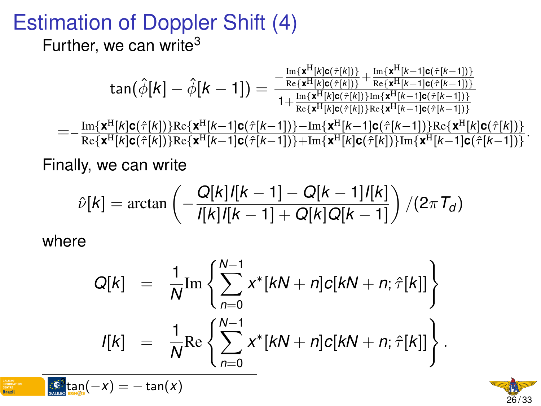# Estimation of Doppler Shift (4)

Further, we can write<sup>3</sup>

$$
\tan(\hat{\phi}[k] - \hat{\phi}[k-1]) = \tfrac{-\frac{\mathrm{Im}\{ \mathbf{x}^H[k]c(\hat{\tau}[k]) \}}{\mathrm{Re}\{ \mathbf{x}^H[k]c(\hat{\tau}[k]) \}} + \frac{\mathrm{Im}\{ \mathbf{x}^H[k-1]c(\hat{\tau}[k-1]) \}}{\mathrm{Re}\{ \mathbf{x}^H[k-1]c(\hat{\tau}[k-1]) \}}}{1 + \frac{\mathrm{Im}\{ \mathbf{x}^H[k]c(\hat{\tau}[k]) \}}{\mathrm{Re}\{ \mathbf{x}^H[k]c(\hat{\tau}[k]) \} \mathrm{Im}\{ \mathbf{x}^H[k-1]c(\hat{\tau}[k-1]) \}}}}
$$

=== Im{**x<sup>H</sup>[***k***]c(ĉ[***k***])}Re{<b>x**<sup>H</sup>[*k*−1]c(ĉ[*k−*1])}−Im{**x<sup>H</sup>[***k−***1]c(ĉ[***k−***1])}Re{<b>x<sup>H</sup>[***k***]c(ĉ[***k***])}**<br>Po[x<sup>H[</sup>lk]Q(ĉ[k])}Re{**x**<sup>H[</sup>lk +1]q(ĉ[k +1])]+Im{x<sup>H[</sup>lk]q(ĉ[k])}Im{xH[k +1]q(ĉ[k +1]) Re{**x** <sup>H</sup>[*k*]**c**(ˆτ[*k*])}Re{**x** <sup>H</sup>[*k*−1]**c**(ˆτ[*k*−1])}+Im{**x** <sup>H</sup>[*k*]**c**(ˆτ[*k*])}Im{**x** <sup>H</sup>[*k*−1]**c**(ˆτ[*k*−1])} .

Finally, we can write

$$
\hat{\nu}[k] = \arctan\left(-\frac{Q[k]/[k-1] - Q[k-1]/[k]}{I[k]/[k-1] + Q[k]Q[k-1]}\right)/(2\pi\tau_d)
$$

where

$$
Q[k] = \frac{1}{N} \text{Im} \left\{ \sum_{n=0}^{N-1} x^* [kN + n] c[kN + n; \hat{\tau}[k]] \right\}
$$
  

$$
I[k] = \frac{1}{N} \text{Re} \left\{ \sum_{n=0}^{N-1} x^* [kN + n] c[kN + n; \hat{\tau}[k]] \right\}.
$$

$$
\bigcap_{\text{GALIDE}} \mathcal{E}^3_{\text{EGLMQs}}(-X) = -\tan(X)
$$

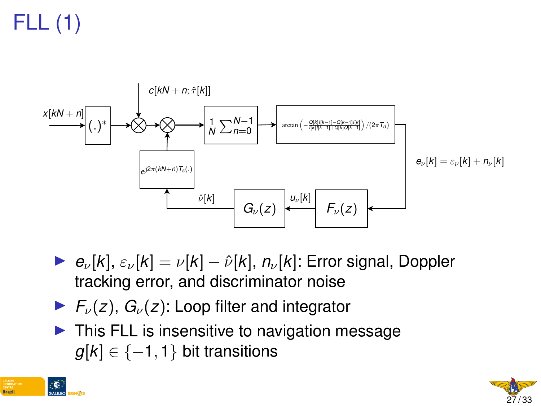FLL (1)



- $\triangleright$  *e*<sub>ν</sub>[*k*],  $\varepsilon$ <sub>ν</sub>[*k*] = *ν*[*k*]  $\hat{\nu}$ [*k*], *n<sub>ν</sub>*[*k*]: Error signal, Doppler tracking error, and discriminator noise
- $\blacktriangleright$   $F_{\nu}(z)$ ,  $G_{\nu}(z)$ : Loop filter and integrator
- $\blacktriangleright$  This FLL is insensitive to navigation message  $g[k] \in \{-1, 1\}$  bit transitions



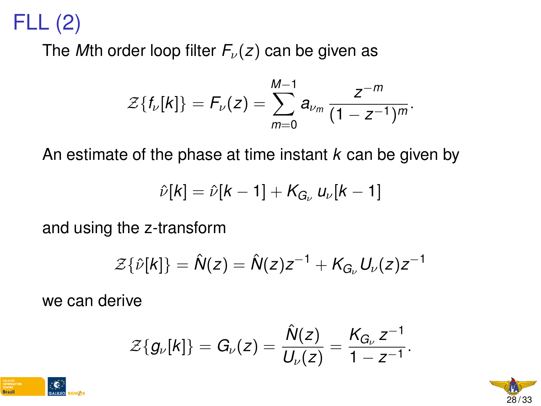# FLL (2)

The *M*th order loop filter  $F_\nu(z)$  can be given as

$$
\mathcal{Z}\{f_{\nu}[k]\}=F_{\nu}(z)=\sum_{m=0}^{M-1}a_{\nu_m}\frac{z^{-m}}{(1-z^{-1})^m}.
$$

An estimate of the phase at time instant *k* can be given by

$$
\hat{\nu}[k] = \hat{\nu}[k-1] + K_{G_{\nu}} u_{\nu}[k-1]
$$

and using the z-transform

$$
\mathcal{Z}\{\hat{\nu}[k]\}=\hat{N}(z)=\hat{N}(z)z^{-1}+K_{G_{\nu}}U_{\nu}(z)z^{-1}
$$

we can derive

$$
\mathcal{Z}{g_{\nu}[k]} = G_{\nu}(z) = \frac{\hat{N}(z)}{U_{\nu}(z)} = \frac{K_{G_{\nu}} z^{-1}}{1 - z^{-1}}.
$$



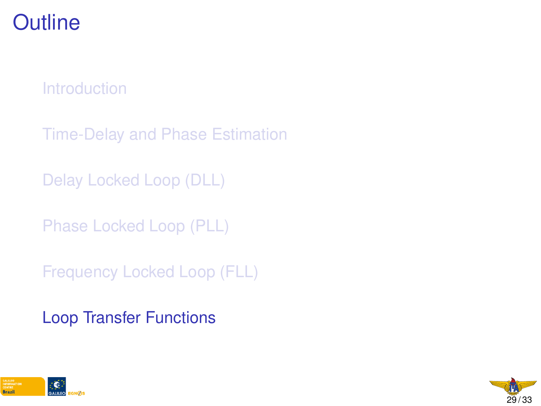## **Outline**

**[Introduction](#page-1-0)** 

[Time-Delay and Phase Estimation](#page-5-0)

[Delay Locked Loop \(DLL\)](#page-0-0)

[Phase Locked Loop \(PLL\)](#page-0-0)

[Frequency Locked Loop \(FLL\)](#page-0-0)

[Loop Transfer Functions](#page-0-0)



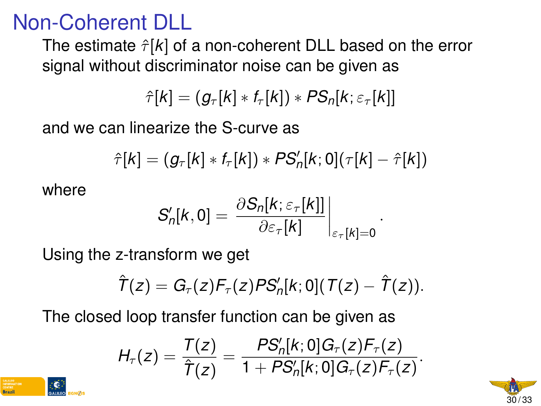## Non-Coherent DLL

The estimate  $\hat{\tau}[k]$  of a non-coherent DLL based on the error signal without discriminator noise can be given as

$$
\hat{\tau}[k] = (g_{\tau}[k] * f_{\tau}[k]) * PS_{n}[k; \varepsilon_{\tau}[k]]
$$

and we can linearize the S-curve as

$$
\hat{\tau}[k] = (g_{\tau}[k] * f_{\tau}[k]) * PS'_n[k;0](\tau[k] - \hat{\tau}[k])
$$

where

$$
S'_{n}[k,0] = \left. \frac{\partial S_{n}[k;\varepsilon_{\tau}[k]]}{\partial \varepsilon_{\tau}[k]} \right|_{\varepsilon_{\tau}[k]=0}
$$

.

Using the z-transform we get

$$
\hat{T}(z) = G_{\tau}(z)F_{\tau}(z)PS'_{n}[k;0](T(z) - \hat{T}(z)).
$$

The closed loop transfer function can be given as

$$
H_{\tau}(z) = \frac{T(z)}{\hat{T}(z)} = \frac{PS'_{n}[k;0]G_{\tau}(z)F_{\tau}(z)}{1 + PS'_{n}[k;0]G_{\tau}(z)F_{\tau}(z)}.
$$

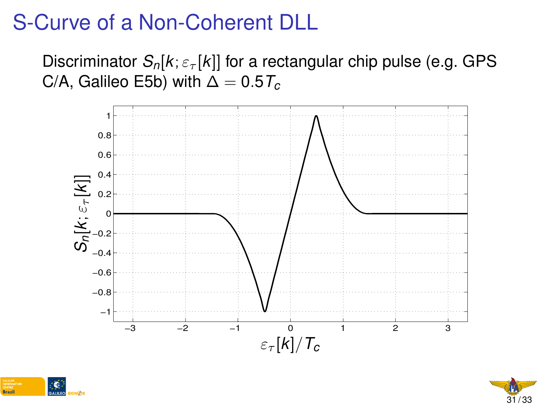# S-Curve of a Non-Coherent DLL

Discriminator  $S_n[k; \varepsilon_{\tau}[k]]$  for a rectangular chip pulse (e.g. GPS C/A, Galileo E5b) with  $\Delta = 0.5T_c$ 





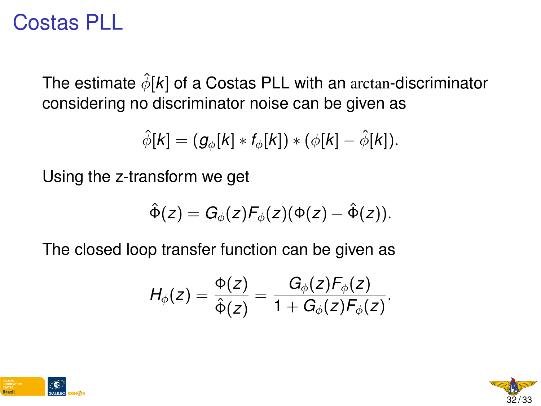## Costas PLL

The estimate  $\hat{\phi}[\mathbf{k}]$  of a Costas PLL with an arctan-discriminator considering no discriminator noise can be given as

$$
\hat{\phi}[k] = (g_{\phi}[k] * f_{\phi}[k]) * (\phi[k] - \hat{\phi}[k]).
$$

Using the z-transform we get

$$
\hat{\Phi}(z)=G_{\phi}(z)\digamma_{\phi}(z)(\Phi(z)-\hat{\Phi}(z)).
$$

The closed loop transfer function can be given as

$$
H_{\phi}(z) = \frac{\Phi(z)}{\hat{\Phi}(z)} = \frac{G_{\phi}(z)F_{\phi}(z)}{1 + G_{\phi}(z)F_{\phi}(z)}.
$$